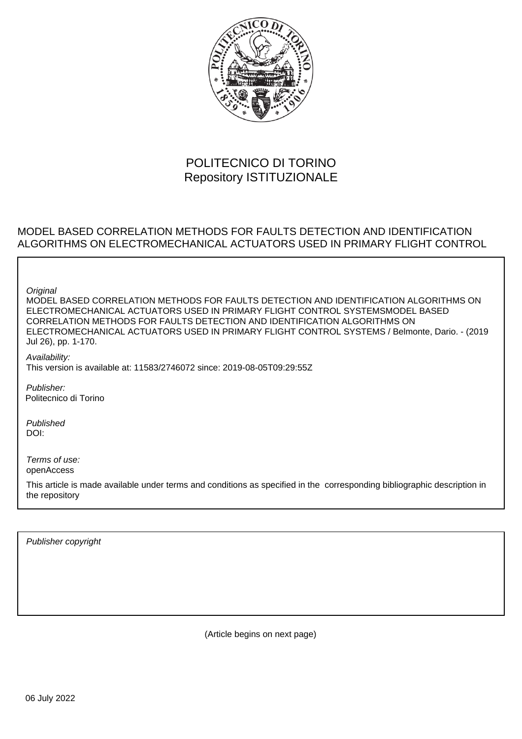

## POLITECNICO DI TORINO Repository ISTITUZIONALE

## MODEL BASED CORRELATION METHODS FOR FAULTS DETECTION AND IDENTIFICATION ALGORITHMS ON ELECTROMECHANICAL ACTUATORS USED IN PRIMARY FLIGHT CONTROL

**Original** 

MODEL BASED CORRELATION METHODS FOR FAULTS DETECTION AND IDENTIFICATION ALGORITHMS ON ELECTROMECHANICAL ACTUATORS USED IN PRIMARY FLIGHT CONTROL SYSTEMSMODEL BASED CORRELATION METHODS FOR FAULTS DETECTION AND IDENTIFICATION ALGORITHMS ON ELECTROMECHANICAL ACTUATORS USED IN PRIMARY FLIGHT CONTROL SYSTEMS / Belmonte, Dario. - (2019 Jul 26), pp. 1-170.

Availability: This version is available at: 11583/2746072 since: 2019-08-05T09:29:55Z

Publisher: Politecnico di Torino

Published DOI:

Terms of use: openAccess

This article is made available under terms and conditions as specified in the corresponding bibliographic description in the repository

Publisher copyright

(Article begins on next page)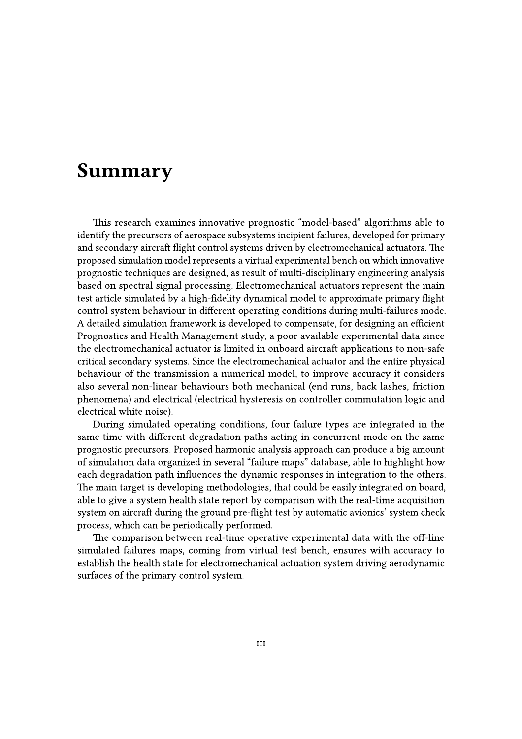## **Summary**

This research examines innovative prognostic "model-based" algorithms able to identify the precursors of aerospace subsystems incipient failures, developed for primary and secondary aircraft flight control systems driven by electromechanical actuators. The proposed simulation model represents a virtual experimental bench on which innovative prognostic techniques are designed, as result of multi-disciplinary engineering analysis based on spectral signal processing. Electromechanical actuators represent the main test article simulated by a high-fidelity dynamical model to approximate primary flight control system behaviour in different operating conditions during multi-failures mode. A detailed simulation framework is developed to compensate, for designing an efficient Prognostics and Health Management study, a poor available experimental data since the electromechanical actuator is limited in onboard aircraft applications to non-safe critical secondary systems. Since the electromechanical actuator and the entire physical behaviour of the transmission a numerical model, to improve accuracy it considers also several non-linear behaviours both mechanical (end runs, back lashes, friction phenomena) and electrical (electrical hysteresis on controller commutation logic and electrical white noise).

During simulated operating conditions, four failure types are integrated in the same time with different degradation paths acting in concurrent mode on the same prognostic precursors. Proposed harmonic analysis approach can produce a big amount of simulation data organized in several "failure maps" database, able to highlight how each degradation path influences the dynamic responses in integration to the others. The main target is developing methodologies, that could be easily integrated on board, able to give a system health state report by comparison with the real-time acquisition system on aircraft during the ground pre-flight test by automatic avionics' system check process, which can be periodically performed.

The comparison between real-time operative experimental data with the off-line simulated failures maps, coming from virtual test bench, ensures with accuracy to establish the health state for electromechanical actuation system driving aerodynamic surfaces of the primary control system.